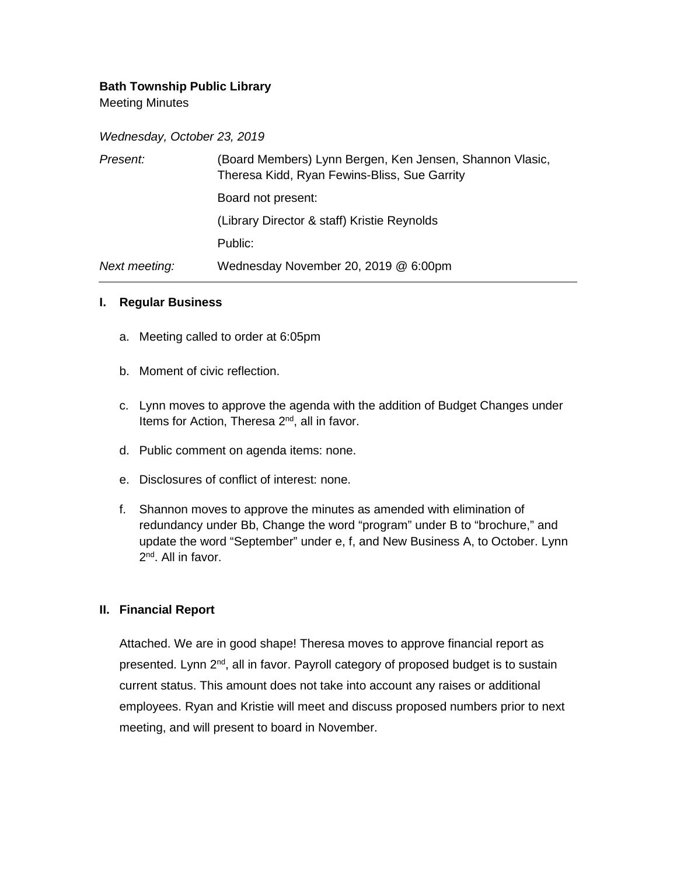# **Bath Township Public Library**

Meeting Minutes

*Wednesday, October 23, 2019*

| Present:      | (Board Members) Lynn Bergen, Ken Jensen, Shannon Vlasic,<br>Theresa Kidd, Ryan Fewins-Bliss, Sue Garrity |
|---------------|----------------------------------------------------------------------------------------------------------|
|               | Board not present:                                                                                       |
|               | (Library Director & staff) Kristie Reynolds                                                              |
|               | Public:                                                                                                  |
| Next meeting: | Wednesday November 20, 2019 @ 6:00pm                                                                     |

#### **I. Regular Business**

- a. Meeting called to order at 6:05pm
- b. Moment of civic reflection.
- c. Lynn moves to approve the agenda with the addition of Budget Changes under Items for Action, Theresa 2<sup>nd</sup>, all in favor.
- d. Public comment on agenda items: none.
- e. Disclosures of conflict of interest: none.
- f. Shannon moves to approve the minutes as amended with elimination of redundancy under Bb, Change the word "program" under B to "brochure," and update the word "September" under e, f, and New Business A, to October. Lynn 2<sup>nd</sup>. All in favor.

### **II. Financial Report**

Attached. We are in good shape! Theresa moves to approve financial report as presented. Lynn 2<sup>nd</sup>, all in favor. Payroll category of proposed budget is to sustain current status. This amount does not take into account any raises or additional employees. Ryan and Kristie will meet and discuss proposed numbers prior to next meeting, and will present to board in November.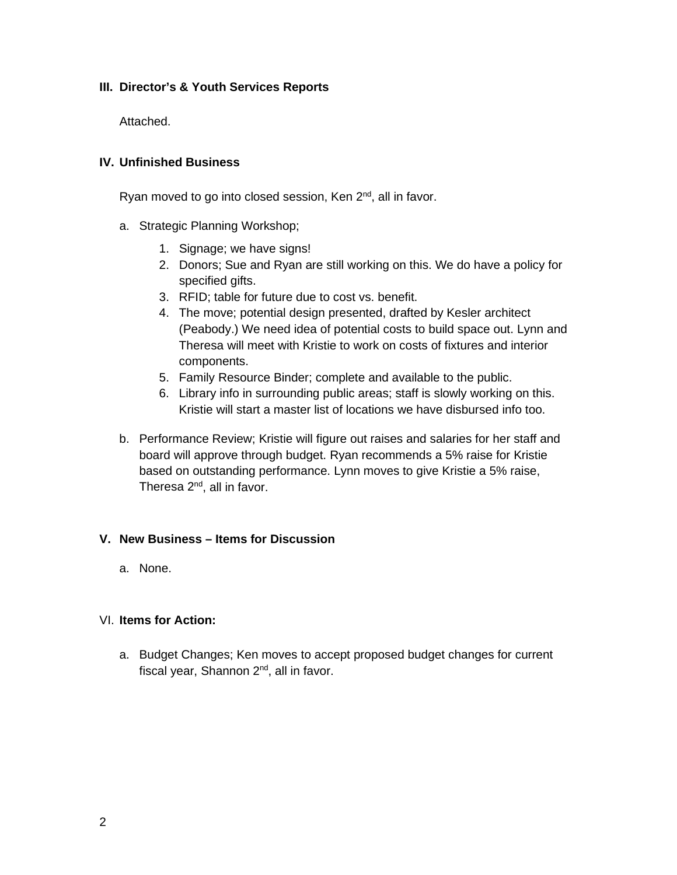# **III. Director's & Youth Services Reports**

Attached.

## **IV. Unfinished Business**

Ryan moved to go into closed session, Ken  $2<sup>nd</sup>$ , all in favor.

- a. Strategic Planning Workshop;
	- 1. Signage; we have signs!
	- 2. Donors; Sue and Ryan are still working on this. We do have a policy for specified gifts.
	- 3. RFID; table for future due to cost vs. benefit.
	- 4. The move; potential design presented, drafted by Kesler architect (Peabody.) We need idea of potential costs to build space out. Lynn and Theresa will meet with Kristie to work on costs of fixtures and interior components.
	- 5. Family Resource Binder; complete and available to the public.
	- 6. Library info in surrounding public areas; staff is slowly working on this. Kristie will start a master list of locations we have disbursed info too.
- b. Performance Review; Kristie will figure out raises and salaries for her staff and board will approve through budget. Ryan recommends a 5% raise for Kristie based on outstanding performance. Lynn moves to give Kristie a 5% raise, Theresa 2<sup>nd</sup>, all in favor.

### **V. New Business – Items for Discussion**

a. None.

### VI. **Items for Action:**

a. Budget Changes; Ken moves to accept proposed budget changes for current fiscal year, Shannon 2<sup>nd</sup>, all in favor.